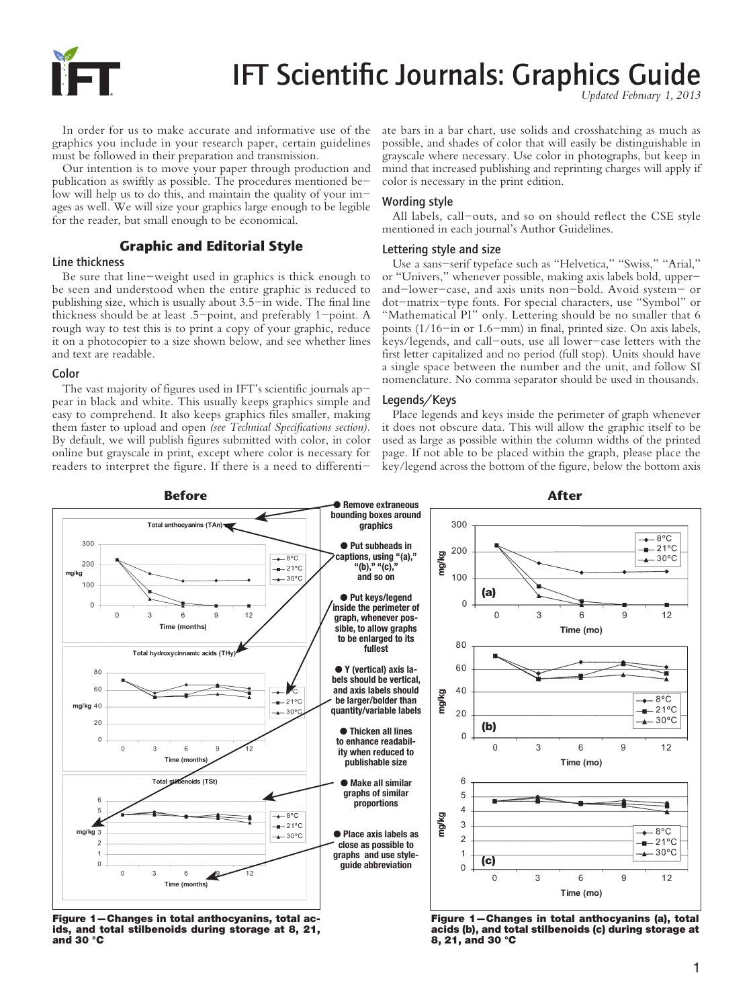

# IFT Scientific Journals: Graphics Guide *Updated February 1, 2013*

In order for us to make accurate and informative use of the graphics you include in your research paper, certain guidelines must be followed in their preparation and transmission.

Our intention is to move your paper through production and publication as swiftly as possible. The procedures mentioned below will help us to do this, and maintain the quality of your images as well. We will size your graphics large enough to be legible for the reader, but small enough to be economical.

# Graphic and Editorial Style

## Line thickness

Be sure that line-weight used in graphics is thick enough to be seen and understood when the entire graphic is reduced to publishing size, which is usually about 3.5-in wide. The final line thickness should be at least .5-point, and preferably 1-point. A rough way to test this is to print a copy of your graphic, reduce it on a photocopier to a size shown below, and see whether lines and text are readable.

#### Color

The vast majority of figures used in IFT's scientific journals appear in black and white. This usually keeps graphics simple and easy to comprehend. It also keeps graphics files smaller, making them faster to upload and open *(see Technical Specifications section).*  By default, we will publish figures submitted with color, in color online but grayscale in print, except where color is necessary for readers to interpret the figure. If there is a need to differentiate bars in a bar chart, use solids and crosshatching as much as possible, and shades of color that will easily be distinguishable in grayscale where necessary. Use color in photographs, but keep in mind that increased publishing and reprinting charges will apply if color is necessary in the print edition.

## Wording style

All labels, call-outs, and so on should reflect the CSE style mentioned in each journal's Author Guidelines.

#### Lettering style and size

Use a sans-serif typeface such as "Helvetica," "Swiss," "Arial," or "Univers," whenever possible, making axis labels bold, upperand-lower-case, and axis units non-bold. Avoid system- or dot-matrix-type fonts. For special characters, use "Symbol" or "Mathematical PI" only. Lettering should be no smaller that 6 points (1/16-in or 1.6-mm) in final, printed size. On axis labels, keys/legends, and call-outs, use all lower-case letters with the first letter capitalized and no period (full stop). Units should have a single space between the number and the unit, and follow SI nomenclature. No comma separator should be used in thousands.

#### Legends/Keys

Place legends and keys inside the perimeter of graph whenever it does not obscure data. This will allow the graphic itself to be used as large as possible within the column widths of the printed page. If not able to be placed within the graph, please place the key/legend across the bottom of the figure, below the bottom axis



Figure 1—Changes in total anthocyanins, total acids, and total stilbenoids during storage at 8, 21, and 30 °C

Figure 1—Changes in total anthocyanins (a), total acids (b), and total stilbenoids (c) during storage at 8, 21, and 30 °C